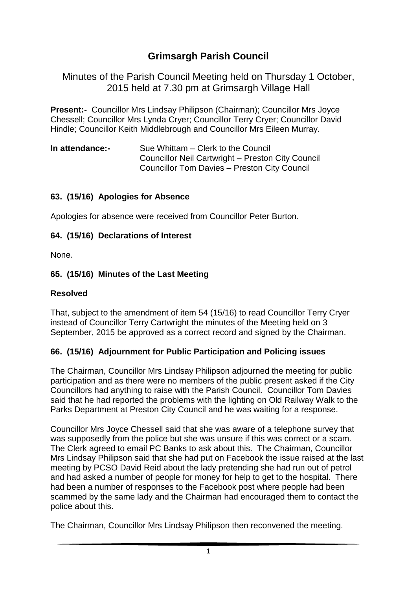# **Grimsargh Parish Council**

Minutes of the Parish Council Meeting held on Thursday 1 October, 2015 held at 7.30 pm at Grimsargh Village Hall

**Present:-** Councillor Mrs Lindsay Philipson (Chairman); Councillor Mrs Joyce Chessell; Councillor Mrs Lynda Cryer; Councillor Terry Cryer; Councillor David Hindle; Councillor Keith Middlebrough and Councillor Mrs Eileen Murray.

| In attendance:- | Sue Whittam – Clerk to the Council                |
|-----------------|---------------------------------------------------|
|                 | Councillor Neil Cartwright - Preston City Council |
|                 | Councillor Tom Davies - Preston City Council      |

### **63. (15/16) Apologies for Absence**

Apologies for absence were received from Councillor Peter Burton.

### **64. (15/16) Declarations of Interest**

None.

# **65. (15/16) Minutes of the Last Meeting**

## **Resolved**

That, subject to the amendment of item 54 (15/16) to read Councillor Terry Cryer instead of Councillor Terry Cartwright the minutes of the Meeting held on 3 September, 2015 be approved as a correct record and signed by the Chairman.

# **66. (15/16) Adjournment for Public Participation and Policing issues**

The Chairman, Councillor Mrs Lindsay Philipson adjourned the meeting for public participation and as there were no members of the public present asked if the City Councillors had anything to raise with the Parish Council. Councillor Tom Davies said that he had reported the problems with the lighting on Old Railway Walk to the Parks Department at Preston City Council and he was waiting for a response.

Councillor Mrs Joyce Chessell said that she was aware of a telephone survey that was supposedly from the police but she was unsure if this was correct or a scam. The Clerk agreed to email PC Banks to ask about this. The Chairman, Councillor Mrs Lindsay Philipson said that she had put on Facebook the issue raised at the last meeting by PCSO David Reid about the lady pretending she had run out of petrol and had asked a number of people for money for help to get to the hospital. There had been a number of responses to the Facebook post where people had been scammed by the same lady and the Chairman had encouraged them to contact the police about this.

The Chairman, Councillor Mrs Lindsay Philipson then reconvened the meeting.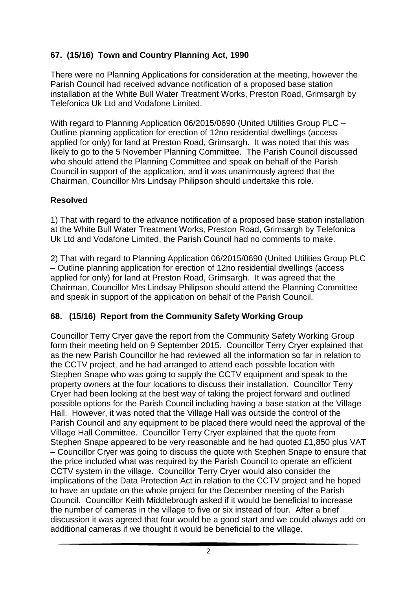# **67. (15/16) Town and Country Planning Act, 1990**

There were no Planning Applications for consideration at the meeting, however the Parish Council had received advance notification of a proposed base station installation at the White Bull Water Treatment Works, Preston Road, Grimsargh by Telefonica Uk Ltd and Vodafone Limited.

With regard to Planning Application 06/2015/0690 (United Utilities Group PLC – Outline planning application for erection of 12no residential dwellings (access applied for only) for land at Preston Road, Grimsargh. It was noted that this was likely to go to the 5 November Planning Committee. The Parish Council discussed who should attend the Planning Committee and speak on behalf of the Parish Council in support of the application, and it was unanimously agreed that the Chairman, Councillor Mrs Lindsay Philipson should undertake this role.

### **Resolved**

1) That with regard to the advance notification of a proposed base station installation at the White Bull Water Treatment Works, Preston Road, Grimsargh by Telefonica Uk Ltd and Vodafone Limited, the Parish Council had no comments to make.

2) That with regard to Planning Application 06/2015/0690 (United Utilities Group PLC – Outline planning application for erection of 12no residential dwellings (access applied for only) for land at Preston Road, Grimsargh. It was agreed that the Chairman, Councillor Mrs Lindsay Philipson should attend the Planning Committee and speak in support of the application on behalf of the Parish Council.

### **68. (15/16) Report from the Community Safety Working Group**

Councillor Terry Cryer gave the report from the Community Safety Working Group form their meeting held on 9 September 2015. Councillor Terry Cryer explained that as the new Parish Councillor he had reviewed all the information so far in relation to the CCTV project, and he had arranged to attend each possible location with Stephen Snape who was going to supply the CCTV equipment and speak to the property owners at the four locations to discuss their installation. Councillor Terry Cryer had been looking at the best way of taking the project forward and outlined possible options for the Parish Council including having a base station at the Village Hall. However, it was noted that the Village Hall was outside the control of the Parish Council and any equipment to be placed there would need the approval of the Village Hall Committee. Councillor Terry Cryer explained that the quote from Stephen Snape appeared to be very reasonable and he had quoted £1,850 plus VAT – Councillor Cryer was going to discuss the quote with Stephen Snape to ensure that the price included what was required by the Parish Council to operate an efficient CCTV system in the village. Councillor Terry Cryer would also consider the implications of the Data Protection Act in relation to the CCTV project and he hoped to have an update on the whole project for the December meeting of the Parish Council. Councillor Keith Middlebrough asked if it would be beneficial to increase the number of cameras in the village to five or six instead of four. After a brief discussion it was agreed that four would be a good start and we could always add on additional cameras if we thought it would be beneficial to the village.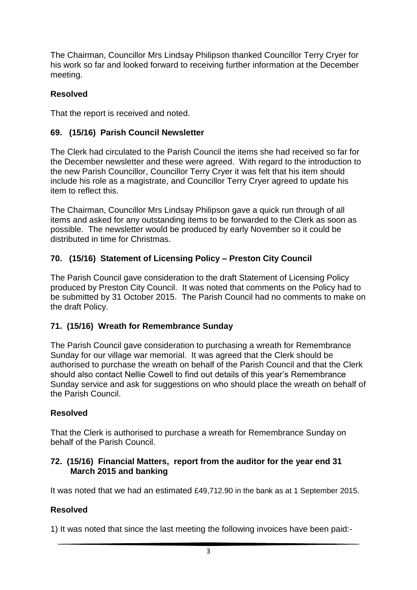The Chairman, Councillor Mrs Lindsay Philipson thanked Councillor Terry Cryer for his work so far and looked forward to receiving further information at the December meeting.

# **Resolved**

That the report is received and noted.

## **69. (15/16) Parish Council Newsletter**

The Clerk had circulated to the Parish Council the items she had received so far for the December newsletter and these were agreed. With regard to the introduction to the new Parish Councillor, Councillor Terry Cryer it was felt that his item should include his role as a magistrate, and Councillor Terry Cryer agreed to update his item to reflect this.

The Chairman, Councillor Mrs Lindsay Philipson gave a quick run through of all items and asked for any outstanding items to be forwarded to the Clerk as soon as possible. The newsletter would be produced by early November so it could be distributed in time for Christmas.

# **70. (15/16) Statement of Licensing Policy – Preston City Council**

The Parish Council gave consideration to the draft Statement of Licensing Policy produced by Preston City Council. It was noted that comments on the Policy had to be submitted by 31 October 2015. The Parish Council had no comments to make on the draft Policy.

### **71. (15/16) Wreath for Remembrance Sunday**

The Parish Council gave consideration to purchasing a wreath for Remembrance Sunday for our village war memorial. It was agreed that the Clerk should be authorised to purchase the wreath on behalf of the Parish Council and that the Clerk should also contact Nellie Cowell to find out details of this year's Remembrance Sunday service and ask for suggestions on who should place the wreath on behalf of the Parish Council.

### **Resolved**

That the Clerk is authorised to purchase a wreath for Remembrance Sunday on behalf of the Parish Council.

#### **72. (15/16) Financial Matters, report from the auditor for the year end 31 March 2015 and banking**

It was noted that we had an estimated £49,712.90 in the bank as at 1 September 2015.

# **Resolved**

1) It was noted that since the last meeting the following invoices have been paid:-